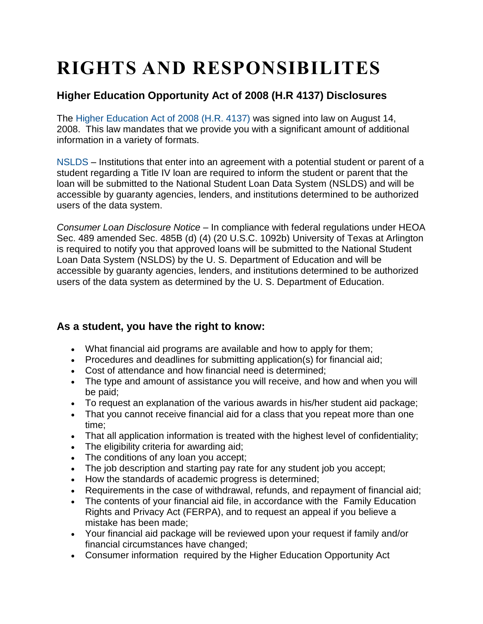## **RIGHTS AND RESPONSIBILITES**

## **Higher Education Opportunity Act of 2008 (H.R 4137) Disclosures**

The [Higher Education Act of 2008 \(H.R. 4137\)](http://www2.ed.gov/policy/highered/leg/hea08/index.html) was signed into law on August 14, 2008. This law mandates that we provide you with a significant amount of additional information in a variety of formats.

[NSLDS](http://www.nslds.ed.gov/nslds_SA/) – Institutions that enter into an agreement with a potential student or parent of a student regarding a Title IV loan are required to inform the student or parent that the loan will be submitted to the National Student Loan Data System (NSLDS) and will be accessible by guaranty agencies, lenders, and institutions determined to be authorized users of the data system.

*Consumer Loan Disclosure Notice* – In compliance with federal regulations under HEOA Sec. 489 amended Sec. 485B (d) (4) (20 U.S.C. 1092b) University of Texas at Arlington is required to notify you that approved loans will be submitted to the National Student Loan Data System (NSLDS) by the U. S. Department of Education and will be accessible by guaranty agencies, lenders, and institutions determined to be authorized users of the data system as determined by the U. S. Department of Education.

## **As a student, you have the right to know:**

- What financial aid programs are available and how to apply for them;
- Procedures and deadlines for submitting application(s) for financial aid;
- Cost of attendance and how financial need is determined;
- The type and amount of assistance you will receive, and how and when you will be paid;
- To request an explanation of the various awards in his/her student aid package;
- That you cannot receive financial aid for a class that you repeat more than one time;
- That all application information is treated with the highest level of confidentiality;
- The eligibility criteria for awarding aid;
- The conditions of any loan you accept;
- The job description and starting pay rate for any student job you accept;
- How the standards of academic progress is determined;
- Requirements in the case of withdrawal, refunds, and repayment of financial aid;
- The contents of your financial aid file, in accordance with the Family Education Rights and Privacy Act (FERPA), and to request an appeal if you believe a mistake has been made;
- Your financial aid package will be reviewed upon your request if family and/or financial circumstances have changed;
- Consumer information required by the Higher Education Opportunity Act